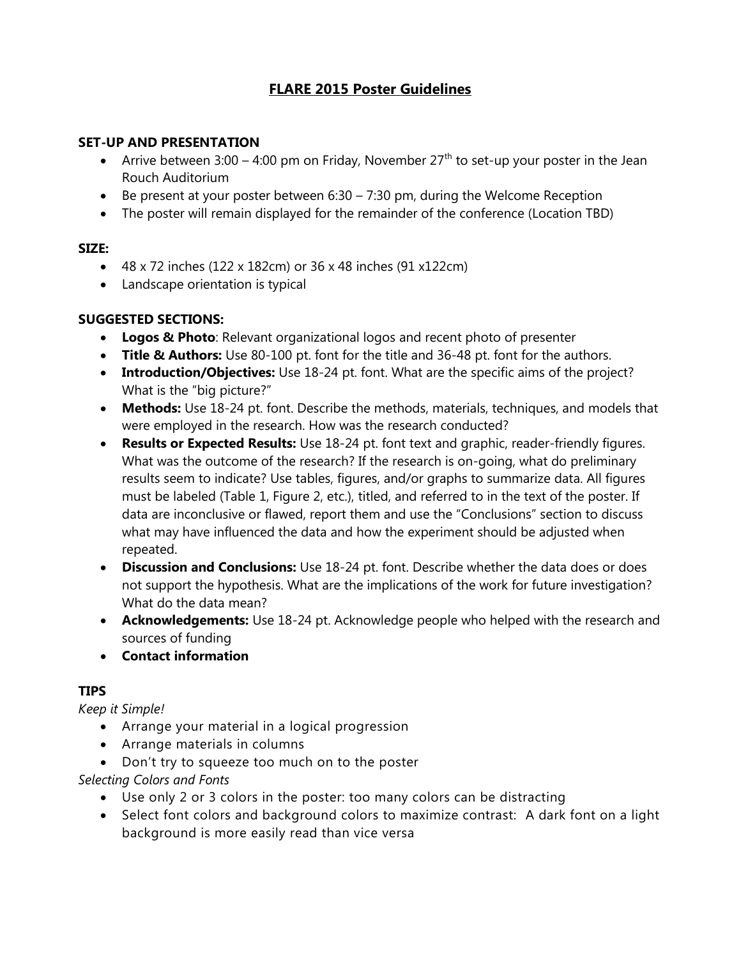## **FLARE 2015 Poster Guidelines**

#### **SET-UP AND PRESENTATION**

- Arrive between 3:00 4:00 pm on Friday, November  $27<sup>th</sup>$  to set-up your poster in the Jean Rouch Auditorium
- Be present at your poster between  $6:30 7:30$  pm, during the Welcome Reception
- The poster will remain displayed for the remainder of the conference (Location TBD)

### **SIZE:**

- 48 x 72 inches (122 x 182cm) or 36 x 48 inches (91 x122cm)
- Landscape orientation is typical

### **SUGGESTED SECTIONS:**

- **Logos & Photo**: Relevant organizational logos and recent photo of presenter
- **Title & Authors:** Use 80-100 pt. font for the title and 36-48 pt. font for the authors.
- **Introduction/Objectives:** Use 18-24 pt. font. What are the specific aims of the project? What is the "big picture?"
- **Methods:** Use 18-24 pt. font. Describe the methods, materials, techniques, and models that were employed in the research. How was the research conducted?
- **Results or Expected Results:** Use 18-24 pt. font text and graphic, reader-friendly figures. What was the outcome of the research? If the research is on-going, what do preliminary results seem to indicate? Use tables, figures, and/or graphs to summarize data. All figures must be labeled (Table 1, Figure 2, etc.), titled, and referred to in the text of the poster. If data are inconclusive or flawed, report them and use the "Conclusions" section to discuss what may have influenced the data and how the experiment should be adjusted when repeated.
- **Discussion and Conclusions:** Use 18-24 pt. font. Describe whether the data does or does not support the hypothesis. What are the implications of the work for future investigation? What do the data mean?
- **Acknowledgements:** Use 18-24 pt. Acknowledge people who helped with the research and sources of funding
- **Contact information**

### **TIPS**

*Keep it Simple!*

- Arrange your material in a logical progression
- Arrange materials in columns
- Don't try to squeeze too much on to the poster

### *Selecting Colors and Fonts*

- Use only 2 or 3 colors in the poster: too many colors can be distracting
- Select font colors and background colors to maximize contrast: A dark font on a light background is more easily read than vice versa